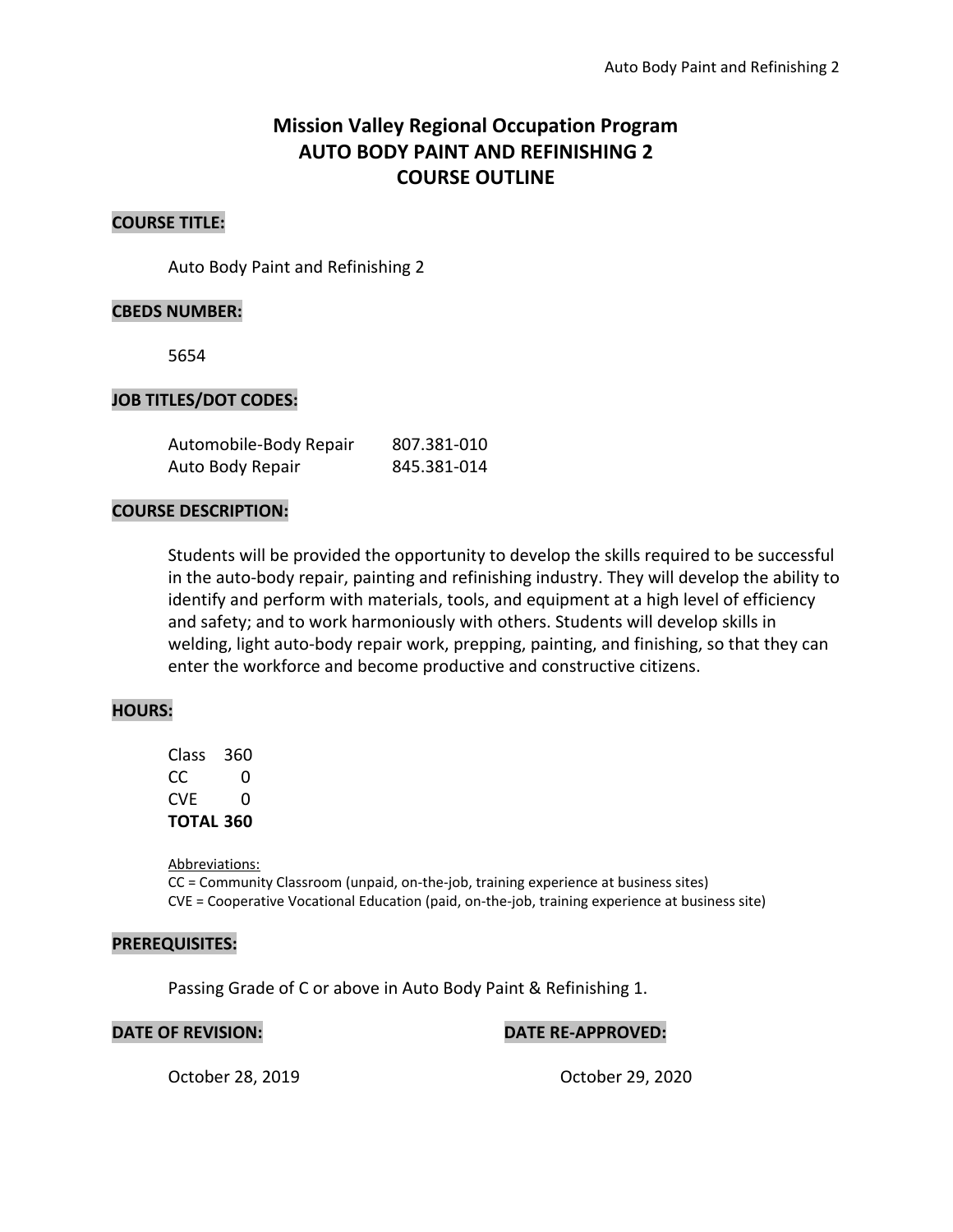# **Mission Valley Regional Occupation Program AUTO BODY PAINT AND REFINISHING 2 COURSE OUTLINE**

## **COURSE TITLE:**

Auto Body Paint and Refinishing 2

#### **CBEDS NUMBER:**

5654

#### **JOB TITLES/DOT CODES:**

| Automobile-Body Repair | 807.381-010 |
|------------------------|-------------|
| Auto Body Repair       | 845.381-014 |

#### **COURSE DESCRIPTION:**

Students will be provided the opportunity to develop the skills required to be successful in the auto-body repair, painting and refinishing industry. They will develop the ability to identify and perform with materials, tools, and equipment at a high level of efficiency and safety; and to work harmoniously with others. Students will develop skills in welding, light auto-body repair work, prepping, painting, and finishing, so that they can enter the workforce and become productive and constructive citizens.

#### **HOURS:**

| Class     | 360 |
|-----------|-----|
| CC.       | O   |
| CVF       | O   |
| TOTAL 360 |     |

Abbreviations: CC = Community Classroom (unpaid, on-the-job, training experience at business sites) CVE = Cooperative Vocational Education (paid, on-the-job, training experience at business site)

#### **PREREQUISITES:**

Passing Grade of C or above in Auto Body Paint & Refinishing 1.

## **DATE OF REVISION: DATE RE-APPROVED:**

October 28, 2019 October 29, 2020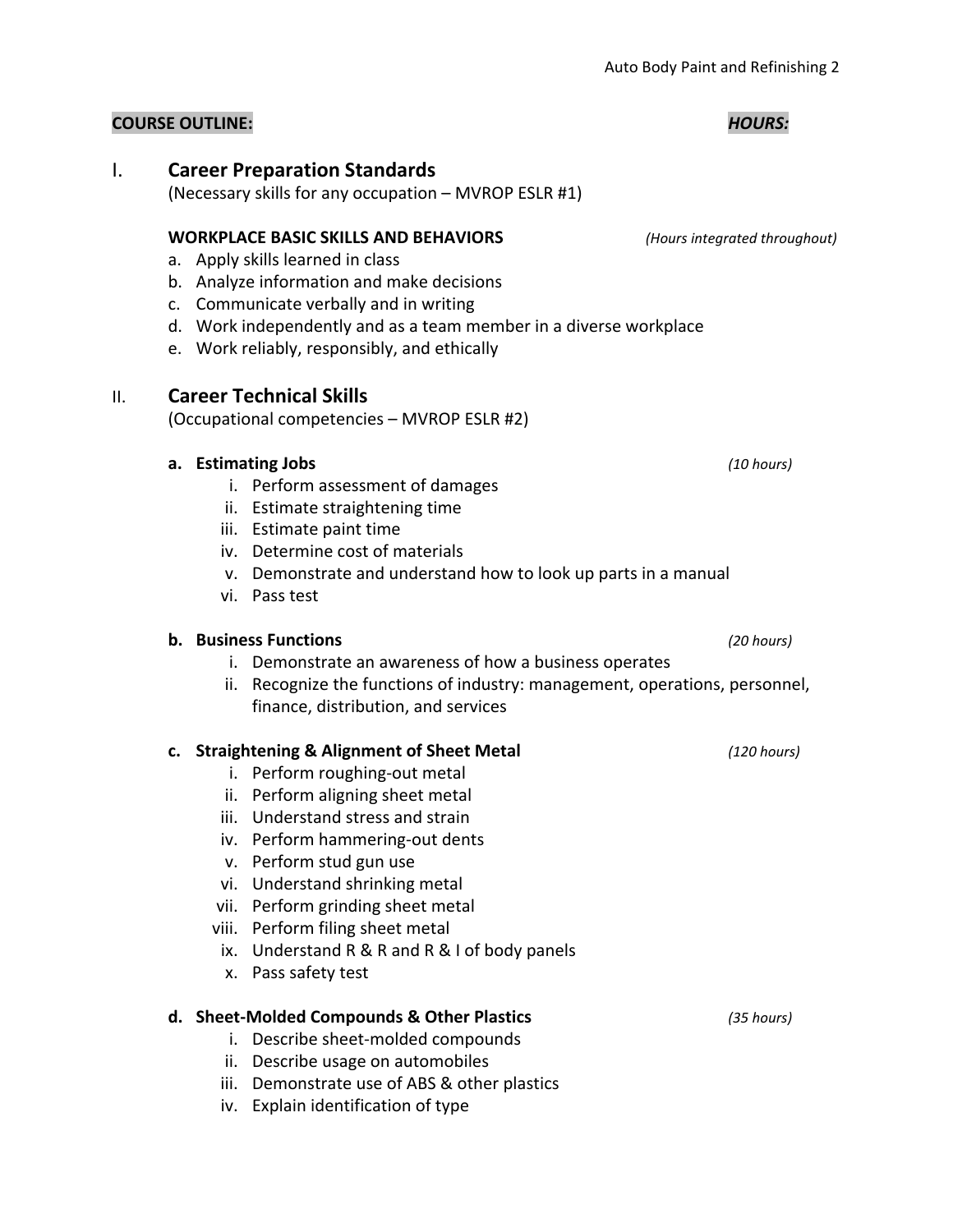# I. **Career Preparation Standards**

(Necessary skills for any occupation – MVROP ESLR #1)

# **WORKPLACE BASIC SKILLS AND BEHAVIORS** *(Hours integrated throughout)*

- a. Apply skills learned in class
- b. Analyze information and make decisions
- c. Communicate verbally and in writing
- d. Work independently and as a team member in a diverse workplace
- e. Work reliably, responsibly, and ethically

# II. **Career Technical Skills**

(Occupational competencies – MVROP ESLR #2)

# **a. Estimating Jobs** *(10 hours)*

- i. Perform assessment of damages
- ii. Estimate straightening time
- iii. Estimate paint time
- iv. Determine cost of materials
- v. Demonstrate and understand how to look up parts in a manual
- vi. Pass test

# **b. Business Functions** *(20 hours)*

- i. Demonstrate an awareness of how a business operates
- ii. Recognize the functions of industry: management, operations, personnel, finance, distribution, and services

# **c. Straightening & Alignment of Sheet Metal** *(120 hours)*

- i. Perform roughing-out metal
- ii. Perform aligning sheet metal
- iii. Understand stress and strain
- iv. Perform hammering-out dents
- v. Perform stud gun use
- vi. Understand shrinking metal
- vii. Perform grinding sheet metal
- viii. Perform filing sheet metal
- ix. Understand R & R and R & I of body panels
- x. Pass safety test

# **d. Sheet-Molded Compounds & Other Plastics** *(35 hours)*

- i. Describe sheet-molded compounds
- ii. Describe usage on automobiles
- iii. Demonstrate use of ABS & other plastics
- iv. Explain identification of type

## **COURSE OUTLINE:** *HOURS:*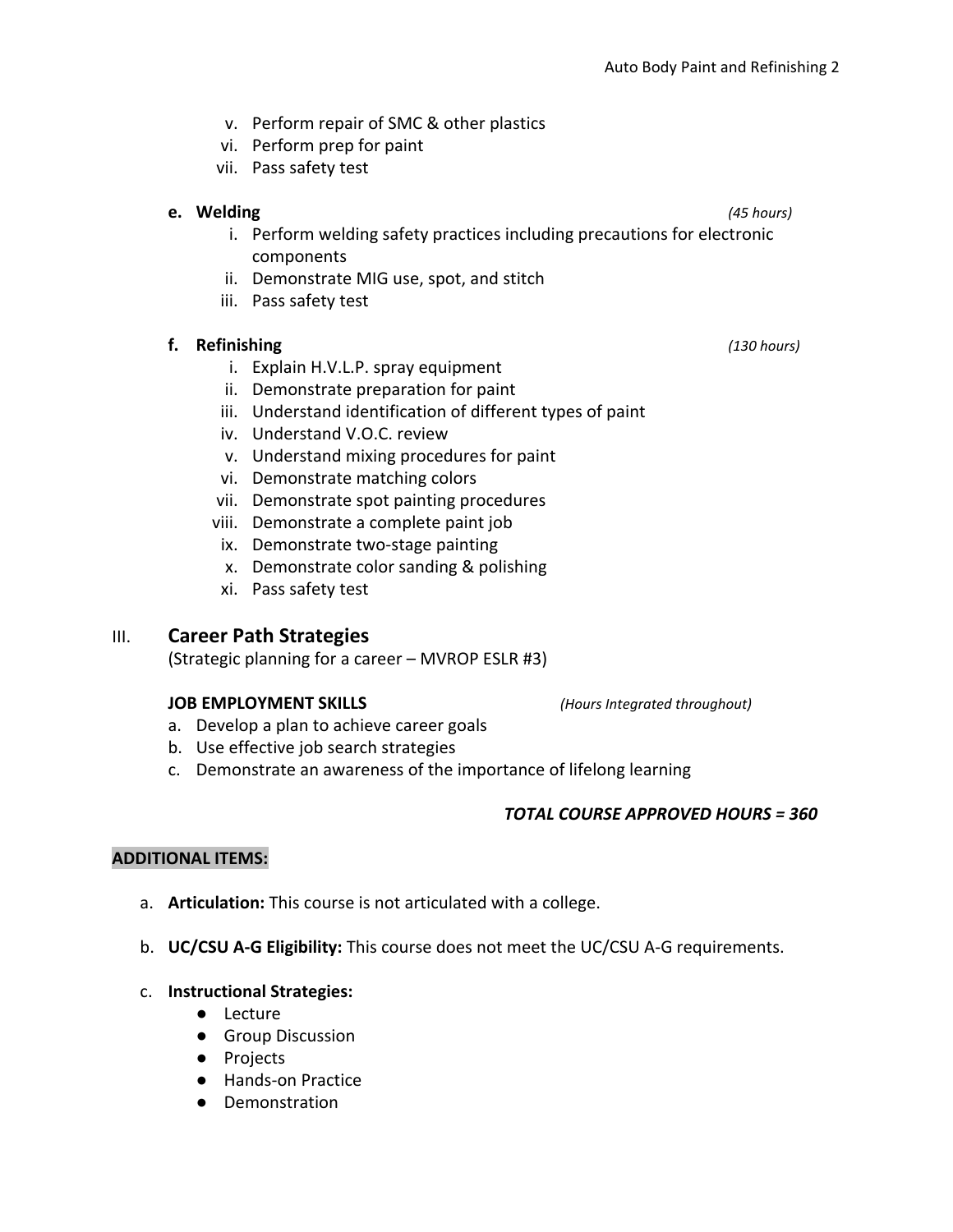- v. Perform repair of SMC & other plastics
- vi. Perform prep for paint
- vii. Pass safety test

## **e. Welding** *(45 hours)*

- i. Perform welding safety practices including precautions for electronic components
- ii. Demonstrate MIG use, spot, and stitch
- iii. Pass safety test

## **f. Refinishing** *(130 hours)*

- i. Explain H.V.L.P. spray equipment
- ii. Demonstrate preparation for paint
- iii. Understand identification of different types of paint
- iv. Understand V.O.C. review
- v. Understand mixing procedures for paint
- vi. Demonstrate matching colors
- vii. Demonstrate spot painting procedures
- viii. Demonstrate a complete paint job
- ix. Demonstrate two-stage painting
- x. Demonstrate color sanding & polishing
- xi. Pass safety test

## III. **Career Path Strategies**

(Strategic planning for a career – MVROP ESLR #3)

#### **JOB EMPLOYMENT SKILLS** *(Hours Integrated throughout)*

- a. Develop a plan to achieve career goals
- b. Use effective job search strategies
- c. Demonstrate an awareness of the importance of lifelong learning

## *TOTAL COURSE APPROVED HOURS = 360*

## **ADDITIONAL ITEMS:**

- a. **Articulation:** This course is not articulated with a college.
- b. **UC/CSU A-G Eligibility:** This course does not meet the UC/CSU A-G requirements.

## c. **Instructional Strategies:**

- Lecture
- Group Discussion
- Projects
- Hands-on Practice
- Demonstration